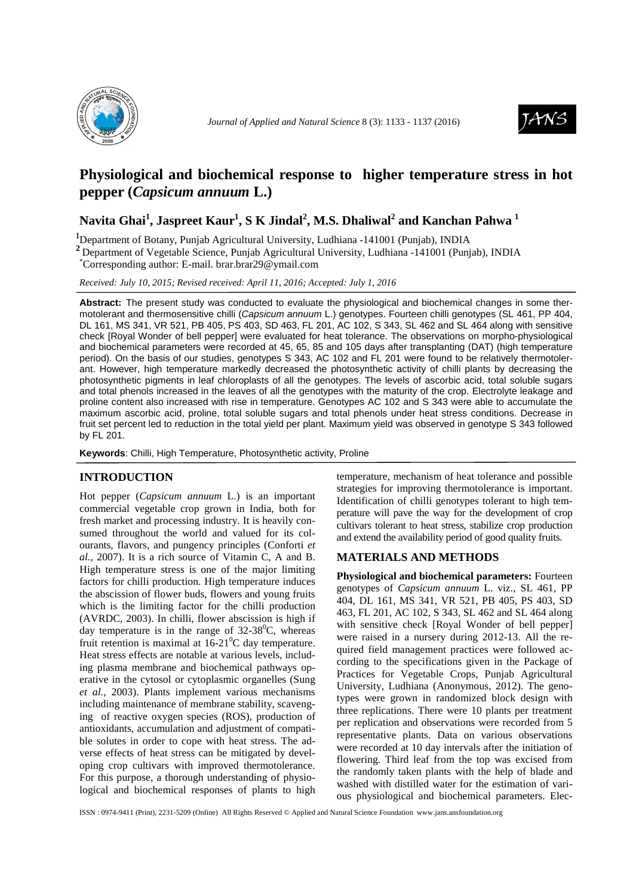



# **Physiological and biochemical response to higher temperature stress in hot pepper (***Capsicum annuum* **L.)**

## **Navita Ghai<sup>1</sup> , Jaspreet Kaur<sup>1</sup> , S K Jindal<sup>2</sup> , M.S. Dhaliwal<sup>2</sup> and Kanchan Pahwa <sup>1</sup>**

<sup>1</sup>Department of Botany, Punjab Agricultural University, Ludhiana -141001 (Punjab), INDIA

<sup>2</sup> Department of Vegetable Science, Punjab Agricultural University, Ludhiana -141001 (Punjab), INDIA

\*Corresponding author: E-mail. brar.brar29@ymail.com

*Received: July 10, 2015; Revised received: April 11, 2016; Accepted: July 1, 2016*

**Abstract:** The present study was conducted to evaluate the physiological and biochemical changes in some thermotolerant and thermosensitive chilli (Capsicum annuum L.) genotypes. Fourteen chilli genotypes (SL 461, PP 404, DL 161, MS 341, VR 521, PB 405, PS 403, SD 463, FL 201, AC 102, S 343, SL 462 and SL 464 along with sensitive check [Royal Wonder of bell pepper] were evaluated for heat tolerance. The observations on morpho-physiological and biochemical parameters were recorded at 45, 65, 85 and 105 days after transplanting (DAT) (high temperature period). On the basis of our studies, genotypes S 343, AC 102 and FL 201 were found to be relatively thermotolerant. However, high temperature markedly decreased the photosynthetic activity of chilli plants by decreasing the photosynthetic pigments in leaf chloroplasts of all the genotypes. The levels of ascorbic acid, total soluble sugars and total phenols increased in the leaves of all the genotypes with the maturity of the crop. Electrolyte leakage and proline content also increased with rise in temperature. Genotypes AC 102 and S 343 were able to accumulate the maximum ascorbic acid, proline, total soluble sugars and total phenols under heat stress conditions. Decrease in fruit set percent led to reduction in the total yield per plant. Maximum yield was observed in genotype S 343 followed by FL 201.

**Keywords**: Chilli, High Temperature, Photosynthetic activity, Proline

## **INTRODUCTION**

Hot pepper (*Capsicum annuum* L.) is an important commercial vegetable crop grown in India, both for fresh market and processing industry. It is heavily consumed throughout the world and valued for its colourants, flavors, and pungency principles (Conforti *et al.,* 2007). It is a rich source of Vitamin C, A and B. High temperature stress is one of the major limiting factors for chilli production. High temperature induces the abscission of flower buds, flowers and young fruits which is the limiting factor for the chilli production (AVRDC, 2003). In chilli, flower abscission is high if day temperature is in the range of  $32-38^{\circ}$ C, whereas fruit retention is maximal at  $16{\text -}21^0C$  day temperature. Heat stress effects are notable at various levels, including plasma membrane and biochemical pathways operative in the cytosol or cytoplasmic organelles (Sung *et al.,* 2003). Plants implement various mechanisms including maintenance of membrane stability, scavenging of reactive oxygen species (ROS), production of antioxidants, accumulation and adjustment of compatible solutes in order to cope with heat stress. The adverse effects of heat stress can be mitigated by developing crop cultivars with improved thermotolerance. For this purpose, a thorough understanding of physiological and biochemical responses of plants to high

temperature, mechanism of heat tolerance and possible strategies for improving thermotolerance is important. Identification of chilli genotypes tolerant to high temperature will pave the way for the development of crop cultivars tolerant to heat stress, stabilize crop production and extend the availability period of good quality fruits.

### **MATERIALS AND METHODS**

**Physiological and biochemical parameters:** Fourteen genotypes of *Capsicum annuum* L. viz., SL 461, PP 404, DL 161, MS 341, VR 521, PB 405, PS 403, SD 463, FL 201, AC 102, S 343, SL 462 and SL 464 along with sensitive check [Royal Wonder of bell pepper] were raised in a nursery during 2012-13. All the required field management practices were followed according to the specifications given in the Package of Practices for Vegetable Crops, Punjab Agricultural University, Ludhiana (Anonymous, 2012). The genotypes were grown in randomized block design with three replications. There were 10 plants per treatment per replication and observations were recorded from 5 representative plants. Data on various observations were recorded at 10 day intervals after the initiation of flowering. Third leaf from the top was excised from the randomly taken plants with the help of blade and washed with distilled water for the estimation of various physiological and biochemical parameters. Elec-

ISSN : 0974-9411 (Print), 2231-5209 (Online) All Rights Reserved © Applied and Natural Science Foundation www.jans.ansfoundation.org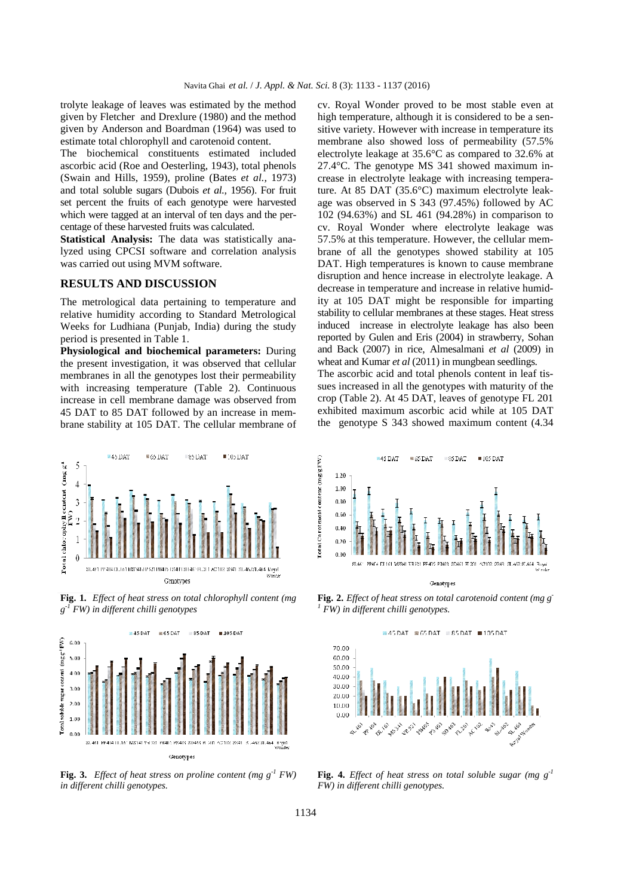trolyte leakage of leaves was estimated by the method given by Fletcher and Drexlure (1980) and the method given by Anderson and Boardman (1964) was used to estimate total chlorophyll and carotenoid content.

The biochemical constituents estimated included ascorbic acid (Roe and Oesterling, 1943), total phenols (Swain and Hills, 1959), proline (Bates *et al.,* 1973) and total soluble sugars (Dubois *et al.,* 1956). For fruit set percent the fruits of each genotype were harvested which were tagged at an interval of ten days and the percentage of these harvested fruits was calculated.

**Statistical Analysis:** The data was statistically analyzed using CPCSI software and correlation analysis was carried out using MVM software.

#### **RESULTS AND DISCUSSION**

The metrological data pertaining to temperature and relative humidity according to Standard Metrological Weeks for Ludhiana (Punjab, India) during the study period is presented in Table 1.

**Physiological and biochemical parameters:** During the present investigation, it was observed that cellular membranes in all the genotypes lost their permeability with increasing temperature (Table 2). Continuous increase in cell membrane damage was observed from 45 DAT to 85 DAT followed by an increase in membrane stability at 105 DAT. The cellular membrane of

cv. Royal Wonder proved to be most stable even at high temperature, although it is considered to be a sensitive variety. However with increase in temperature its membrane also showed loss of permeability (57.5% electrolyte leakage at 35.6°C as compared to 32.6% at 27.4°C. The genotype MS 341 showed maximum increase in electrolyte leakage with increasing temperature. At 85 DAT (35.6°C) maximum electrolyte leakage was observed in S 343 (97.45%) followed by AC 102 (94.63%) and SL 461 (94.28%) in comparison to cv. Royal Wonder where electrolyte leakage was 57.5% at this temperature. However, the cellular membrane of all the genotypes showed stability at 105 DAT. High temperatures is known to cause membrane disruption and hence increase in electrolyte leakage. A decrease in temperature and increase in relative humidity at 105 DAT might be responsible for imparting stability to cellular membranes at these stages. Heat stress induced increase in electrolyte leakage has also been reported by Gulen and Eris (2004) in strawberry, Sohan and Back (2007) in rice, Almesalmani *et al* (2009) in wheat and Kumar *et al* (2011) in mungbean seedlings. The ascorbic acid and total phenols content in leaf tissues increased in all the genotypes with maturity of the

**45 DAT**  $\blacksquare$  65 DAT **85 DAT**  $\blacksquare$ : 05 DAT 5  $\Gamma$ otal chlorophyll content  $(\texttt{mgg})$  $\overline{4}$  $\overline{3}$  $\mathbf{1}$  $\theta$ Genotypes

**Fig. 1***. Effect of heat stress on total chlorophyll content (mg g -1 FW) in different chilli genotypes* 



**Fig. 3.** *Effect of heat stress on proline content (mg*  $g^{-1}$  *FW) in different chilli genotypes.* 



crop (Table 2). At 45 DAT, leaves of genotype FL 201 exhibited maximum ascorbic acid while at 105 DAT the genotype S 343 showed maximum content (4.34

**Fig. 2.** *Effect of heat stress on total carotenoid content (mg g- FW) in different chilli genotypes.* 



**Fig. 4.** *Effect of heat stress on total soluble sugar (mg g-1 FW) in different chilli genotypes.*

*1*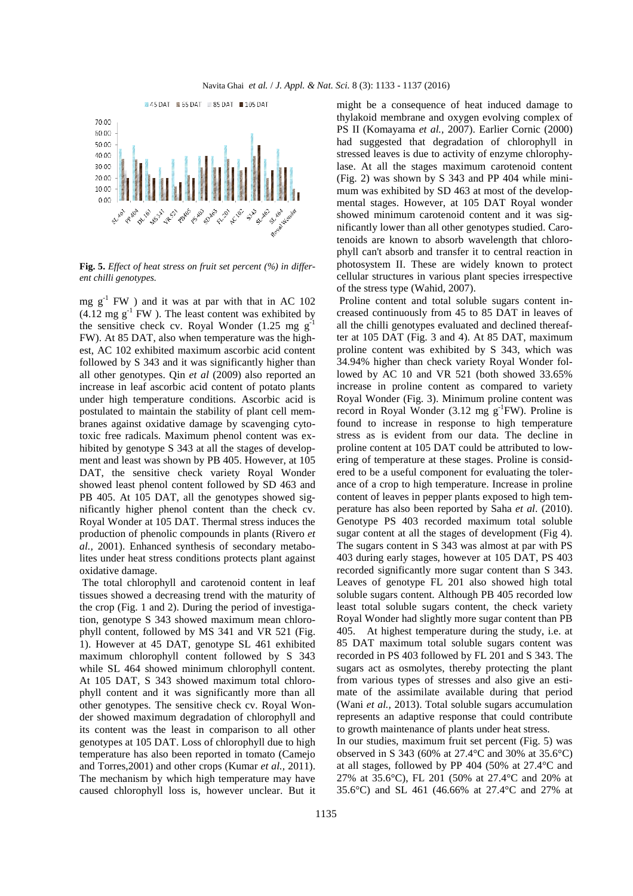

**Fig. 5.** *Effect of heat stress on fruit set percent (%) in different chilli genotypes.* 

mg  $g^{-1}$  FW) and it was at par with that in AC 102  $(4.12 \text{ mg g}^{-1}$  FW ). The least content was exhibited by the sensitive check cv. Royal Wonder  $(1.25 \text{ mg g}^{-1})$ FW). At 85 DAT, also when temperature was the highest, AC 102 exhibited maximum ascorbic acid content followed by S 343 and it was significantly higher than all other genotypes. Qin *et al* (2009) also reported an increase in leaf ascorbic acid content of potato plants under high temperature conditions. Ascorbic acid is postulated to maintain the stability of plant cell membranes against oxidative damage by scavenging cytotoxic free radicals. Maximum phenol content was exhibited by genotype S 343 at all the stages of development and least was shown by PB 405. However, at 105 DAT, the sensitive check variety Royal Wonder showed least phenol content followed by SD 463 and PB 405. At 105 DAT, all the genotypes showed significantly higher phenol content than the check cv. Royal Wonder at 105 DAT. Thermal stress induces the production of phenolic compounds in plants (Rivero *et al.,* 2001). Enhanced synthesis of secondary metabolites under heat stress conditions protects plant against oxidative damage.

 The total chlorophyll and carotenoid content in leaf tissues showed a decreasing trend with the maturity of the crop (Fig. 1 and 2). During the period of investigation, genotype S 343 showed maximum mean chlorophyll content, followed by MS 341 and VR 521 (Fig. 1). However at 45 DAT, genotype SL 461 exhibited maximum chlorophyll content followed by S 343 while SL 464 showed minimum chlorophyll content. At 105 DAT, S 343 showed maximum total chlorophyll content and it was significantly more than all other genotypes. The sensitive check cv. Royal Wonder showed maximum degradation of chlorophyll and its content was the least in comparison to all other genotypes at 105 DAT. Loss of chlorophyll due to high temperature has also been reported in tomato (Camejo and Torres,2001) and other crops (Kumar *et al.,* 2011). The mechanism by which high temperature may have caused chlorophyll loss is, however unclear. But it might be a consequence of heat induced damage to thylakoid membrane and oxygen evolving complex of PS II (Komayama *et al.,* 2007). Earlier Cornic (2000) had suggested that degradation of chlorophyll in stressed leaves is due to activity of enzyme chlorophylase. At all the stages maximum carotenoid content (Fig. 2) was shown by S 343 and PP 404 while minimum was exhibited by SD 463 at most of the developmental stages. However, at 105 DAT Royal wonder showed minimum carotenoid content and it was significantly lower than all other genotypes studied. Carotenoids are known to absorb wavelength that chlorophyll can't absorb and transfer it to central reaction in photosystem II. These are widely known to protect cellular structures in various plant species irrespective of the stress type (Wahid, 2007).

 Proline content and total soluble sugars content increased continuously from 45 to 85 DAT in leaves of all the chilli genotypes evaluated and declined thereafter at 105 DAT (Fig. 3 and 4). At 85 DAT, maximum proline content was exhibited by S 343, which was 34.94% higher than check variety Royal Wonder followed by AC 10 and VR 521 (both showed 33.65% increase in proline content as compared to variety Royal Wonder (Fig. 3). Minimum proline content was record in Royal Wonder  $(3.12 \text{ mg g}^{-1} \text{FW})$ . Proline is found to increase in response to high temperature stress as is evident from our data. The decline in proline content at 105 DAT could be attributed to lowering of temperature at these stages. Proline is considered to be a useful component for evaluating the tolerance of a crop to high temperature. Increase in proline content of leaves in pepper plants exposed to high temperature has also been reported by Saha *et al*. (2010). Genotype PS 403 recorded maximum total soluble sugar content at all the stages of development (Fig 4). The sugars content in S 343 was almost at par with PS 403 during early stages, however at 105 DAT, PS 403 recorded significantly more sugar content than S 343. Leaves of genotype FL 201 also showed high total soluble sugars content. Although PB 405 recorded low least total soluble sugars content, the check variety Royal Wonder had slightly more sugar content than PB 405. At highest temperature during the study, i.e. at 85 DAT maximum total soluble sugars content was recorded in PS 403 followed by FL 201 and S 343. The sugars act as osmolytes, thereby protecting the plant from various types of stresses and also give an estimate of the assimilate available during that period (Wani *et al.,* 2013). Total soluble sugars accumulation represents an adaptive response that could contribute to growth maintenance of plants under heat stress.

In our studies, maximum fruit set percent (Fig. 5) was observed in S 343 (60% at 27.4°C and 30% at 35.6°C) at all stages, followed by PP 404 (50% at 27.4°C and 27% at 35.6°C), FL 201 (50% at 27.4°C and 20% at 35.6°C) and SL 461 (46.66% at 27.4°C and 27% at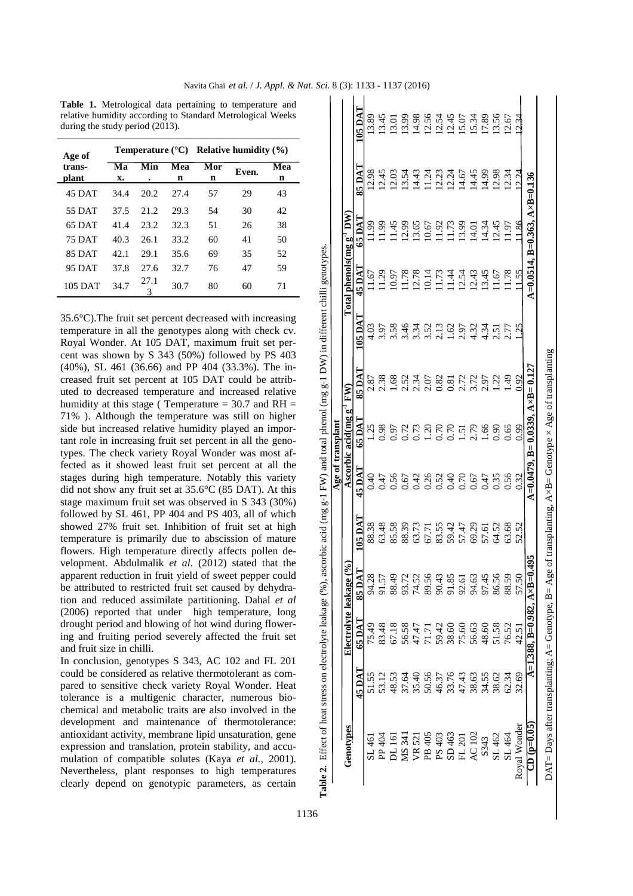|                                                                                                                                                                                                                                                                                                                                                                                                                                                                                                                                                                                                                    | dy period (2013). |          |                    | trological data pertaming to temperature and<br>dity according to Standard Metrological Weeks                                                                                                                                                                                                                        |          |                                                                                      |           |                         | <b>SO</b>        | 13.89<br>13.45 |                     | 13.01<br>13.99 | 14.98<br>12.54<br>12.54                                                                                                                                                                                                                                                                                       |  | 12.45 | 15.07 | 15.34 | 17.89 | $13.56$<br>$12.54$                                                        |                       |  |
|--------------------------------------------------------------------------------------------------------------------------------------------------------------------------------------------------------------------------------------------------------------------------------------------------------------------------------------------------------------------------------------------------------------------------------------------------------------------------------------------------------------------------------------------------------------------------------------------------------------------|-------------------|----------|--------------------|----------------------------------------------------------------------------------------------------------------------------------------------------------------------------------------------------------------------------------------------------------------------------------------------------------------------|----------|--------------------------------------------------------------------------------------|-----------|-------------------------|------------------|----------------|---------------------|----------------|---------------------------------------------------------------------------------------------------------------------------------------------------------------------------------------------------------------------------------------------------------------------------------------------------------------|--|-------|-------|-------|-------|---------------------------------------------------------------------------|-----------------------|--|
|                                                                                                                                                                                                                                                                                                                                                                                                                                                                                                                                                                                                                    |                   |          |                    | Temperature $(^{\circ}C)$ Relative humidity $(\% )$                                                                                                                                                                                                                                                                  |          |                                                                                      |           |                         |                  |                |                     |                |                                                                                                                                                                                                                                                                                                               |  |       |       |       |       |                                                                           |                       |  |
| Ma<br><b>X.</b>                                                                                                                                                                                                                                                                                                                                                                                                                                                                                                                                                                                                    | Min               | Mea<br>n | Mor<br>$\mathbf n$ | Even.                                                                                                                                                                                                                                                                                                                | Mea<br>n |                                                                                      |           |                         | $\blacktriangle$ |                | 12.45               |                |                                                                                                                                                                                                                                                                                                               |  |       |       |       |       |                                                                           |                       |  |
| 34.4                                                                                                                                                                                                                                                                                                                                                                                                                                                                                                                                                                                                               | 20.2              | 27.4     | 57                 | 29                                                                                                                                                                                                                                                                                                                   | 43       |                                                                                      |           |                         |                  |                |                     |                |                                                                                                                                                                                                                                                                                                               |  |       |       |       |       |                                                                           |                       |  |
| 37.5                                                                                                                                                                                                                                                                                                                                                                                                                                                                                                                                                                                                               | 21.2              | 29.3     | 54                 | 30                                                                                                                                                                                                                                                                                                                   | 42       |                                                                                      |           |                         |                  |                |                     |                |                                                                                                                                                                                                                                                                                                               |  |       |       |       |       |                                                                           |                       |  |
| 41.4                                                                                                                                                                                                                                                                                                                                                                                                                                                                                                                                                                                                               | 23.2              | 32.3     | 51                 | 26                                                                                                                                                                                                                                                                                                                   | 38       |                                                                                      |           | $\mathbf{M}$            |                  | 11.99          | 11.99               |                | $\begin{array}{l} 1.45 \\ 1.29 \\ 1.36 \\ 1.56 \\ 1.67 \\ 1.73 \\ 1.73 \\ 1.73 \\ 1.73 \\ 1.73 \\ 1.73 \\ 1.73 \\ 1.73 \\ 1.73 \\ 1.73 \\ 1.73 \\ 1.73 \\ 1.73 \\ 1.73 \\ 1.73 \\ 1.73 \\ 1.73 \\ 1.73 \\ 1.73 \\ 1.73 \\ 1.73 \\ 1.73 \\ 1.73 \\ 1.73 \\ 1.73 \\ 1.73 \\ 1.73 \\ 1.73 \\ 1.73 \\ 1.73 \\ 1.$ |  |       |       |       |       | 12.45                                                                     | $\frac{11.97}{11.86}$ |  |
| 40.3                                                                                                                                                                                                                                                                                                                                                                                                                                                                                                                                                                                                               | 26.1              | 33.2     | 60                 | 41                                                                                                                                                                                                                                                                                                                   | 50       |                                                                                      |           | ๋ฃ                      |                  |                |                     |                |                                                                                                                                                                                                                                                                                                               |  |       |       |       |       |                                                                           |                       |  |
| 42.1                                                                                                                                                                                                                                                                                                                                                                                                                                                                                                                                                                                                               | 29.1              | 35.6     | 69                 | 35                                                                                                                                                                                                                                                                                                                   | 52       |                                                                                      |           |                         |                  |                |                     |                |                                                                                                                                                                                                                                                                                                               |  |       |       |       |       |                                                                           |                       |  |
| 37.8                                                                                                                                                                                                                                                                                                                                                                                                                                                                                                                                                                                                               | 27.6              | 32.7     | 76                 | 47                                                                                                                                                                                                                                                                                                                   | 59       |                                                                                      |           |                         |                  |                |                     |                |                                                                                                                                                                                                                                                                                                               |  |       |       |       |       |                                                                           |                       |  |
| 34.7                                                                                                                                                                                                                                                                                                                                                                                                                                                                                                                                                                                                               | 27.1<br>3         | 30.7     | 80                 | 60                                                                                                                                                                                                                                                                                                                   | 71       |                                                                                      |           | phenols(mg              |                  |                | $\frac{1.67}{1.29}$ |                | $\begin{array}{c} 10.97 \\ 11.78 \\ 11.11 \\ 12.11 \\ 13.11 \\ 14.43 \\ 15.44 \\ 16.43 \\ 17.44 \\ 18.45 \\ 19.45 \\ 11.44 \\ 12.45 \\ 13.45 \\ 14.45 \\ 15.45 \\ 16.47 \\ 17.48 \\ 18.49 \\ 19.49 \\ 19.49 \\ 19.49 \\ 19.49 \\ 19.49 \\ 19.49 \\ 19.49 \\ 19.49 \\ 19.49 \\ 19.49 \\ 19.49 \\ 19$           |  |       |       |       |       | $\frac{11.67}{11.78}$                                                     |                       |  |
|                                                                                                                                                                                                                                                                                                                                                                                                                                                                                                                                                                                                                    |                   |          |                    | fruit set percent decreased with increasing<br>in all the genotypes along with check cv.<br>ler. At 105 DAT, maximum fruit set per-<br>own by S 343 (50%) followed by PS 403                                                                                                                                         |          | ascorbic acid (mg g-1 FW) and total phenol (mg g-1 DW) in different chilli genotypes |           | otal                    | ശ                |                |                     |                |                                                                                                                                                                                                                                                                                                               |  |       |       |       |       |                                                                           |                       |  |
| 461 (36.66) and PP 404 (33.3%). The in-<br>t set percent at 105 DAT could be attrib-<br>reased temperature and increased relative<br>this stage (Temperature = $30.7$ and RH =                                                                                                                                                                                                                                                                                                                                                                                                                                     |                   |          |                    |                                                                                                                                                                                                                                                                                                                      |          |                                                                                      |           | $\overline{\mathbf{F}}$ |                  |                |                     |                | 8788814588171<br>0.0.0.0.0.0.0.0.0.1<br>0.0.0.0.0.0.0.0.1                                                                                                                                                                                                                                                     |  |       |       |       |       | $2.32$<br>$1.49$<br>$1.92$                                                |                       |  |
| ough the temperature was still on higher<br>reased relative humidity played an impor-<br>ncreasing fruit set percent in all the geno-<br>theck variety Royal Wonder was most af-                                                                                                                                                                                                                                                                                                                                                                                                                                   |                   |          |                    |                                                                                                                                                                                                                                                                                                                      |          |                                                                                      | transplan | 'oq<br>acid(mg          | S.               |                |                     |                |                                                                                                                                                                                                                                                                                                               |  |       |       |       |       |                                                                           |                       |  |
| showed least fruit set percent at all the<br>g high temperature. Notably this variety<br>v any fruit set at $35.6^{\circ}$ C (85 DAT). At this<br>um fruit set was observed in S 343 (30%)<br>SL 461, PP 404 and PS 403, all of which<br>6 fruit set. Inhibition of fruit set at high<br>is primarily due to abscission of mature<br>th temperature directly affects pollen de-<br>Abdulmalik et al. (2012) stated that the<br>uction in fruit yield of sweet pepper could<br>I to restricted fruit set caused by dehydra-<br>luced assimilate partitioning. Dahal et al<br>rted that under high temperature, long |                   |          |                    |                                                                                                                                                                                                                                                                                                                      |          |                                                                                      | ಕ<br>Age  | Ascorbic                |                  |                |                     |                |                                                                                                                                                                                                                                                                                                               |  |       |       |       |       |                                                                           |                       |  |
|                                                                                                                                                                                                                                                                                                                                                                                                                                                                                                                                                                                                                    |                   |          |                    |                                                                                                                                                                                                                                                                                                                      |          |                                                                                      |           |                         |                  |                |                     |                |                                                                                                                                                                                                                                                                                                               |  |       |       |       |       |                                                                           |                       |  |
|                                                                                                                                                                                                                                                                                                                                                                                                                                                                                                                                                                                                                    |                   |          |                    |                                                                                                                                                                                                                                                                                                                      |          |                                                                                      |           | e(%                     | $\mathbf{F}$     |                |                     |                |                                                                                                                                                                                                                                                                                                               |  |       |       |       |       | $85920898589988888$                                                       |                       |  |
| od and blowing of hot wind during flower-<br>ting period severely affected the fruit set<br>e in chilli.                                                                                                                                                                                                                                                                                                                                                                                                                                                                                                           |                   |          | Electrolyte leakag |                                                                                                                                                                                                                                                                                                                      |          |                                                                                      |           |                         |                  |                |                     |                |                                                                                                                                                                                                                                                                                                               |  |       |       |       |       |                                                                           |                       |  |
|                                                                                                                                                                                                                                                                                                                                                                                                                                                                                                                                                                                                                    |                   |          |                    | n, genotypes S 343, AC 102 and FL 201<br>isidered as relative thermotolerant as com-<br>sitive check variety Royal Wonder. Heat<br>a multigenic character, numerous bio-                                                                                                                                             |          |                                                                                      |           |                         |                  |                |                     |                |                                                                                                                                                                                                                                                                                                               |  |       |       |       |       | 5<br>5 5 5 5 5 6 7 6 7 6 7 6 7 6 7 6<br>5 6 7 6 7 6 7 6 7 7 8 7 8 7 8 9 7 |                       |  |
|                                                                                                                                                                                                                                                                                                                                                                                                                                                                                                                                                                                                                    |                   |          |                    | d metabolic traits are also involved in the<br>t and maintenance of thermotolerance:<br>activity, membrane lipid unsaturation, gene<br>nd translation, protein stability, and accu-<br>compatible solutes (Kaya et al., 2001).<br>s, plant responses to high temperatures<br>end on genotypic parameters, as certain |          | Table 2. Effect of heat stress on electrolyte leakage (%                             |           | Genotypes               |                  |                |                     |                |                                                                                                                                                                                                                                                                                                               |  |       |       |       |       |                                                                           |                       |  |

 $A \times B = 0.136$ 

 $B=0.363$ .  $\frac{8}{6}$ 

 $= 0.0514$ 

**CD (p=0.05) A=1.388, B=0.982, A×B=0.495 A=0.0479, B= 0.0339, A×B= 0.127 A=0.0514, B=0.363, A×B=0.136**

 $A=0.0479$ .

 $\overline{\rm A\times B}$ =0.495

 $.388, B=0.982,$ 

⋥

Royal Wonder  $CD(0=0.05$ 

 $A \times B = 0.127$ 

 $B = 0.0339$ .

B = Age of transplanting,  $A \times B$  = Genotype  $\times$  Age of transplanting

DAT= Days after transplanting; A= Genotype, B= Age of transplanting, A×B= Genotype × Age of transplanting

DAT= Days after transplanting; A= Genotype,

 $35.6^{\circ}$ C).The fruit set per temperature in all the generature Royal Wonder. At 105 cent was shown by S  $34$  $(40\%)$ , SL  $461$   $(36.66)$ creased fruit set percent uted to decreased tempe humidity at this stage (  $71\%$  ). Although the te side but increased relati tant role in increasing fr types. The check variety fected as it showed lea stages during high temdid not show any fruit set stage maximum fruit set followed by SL 461, PP showed 27% fruit set. temperature is primarily flowers. High temperature velopment. Abdulmalik apparent reduction in fru be attributed to restricte tion and reduced assim  $(2006)$  reported that un drought period and blow ing and fruiting period and fruit size in chilli.

In conclusion, genotype could be considered as r pared to sensitive check tolerance is a multigen chemical and metabolic development and main antioxidant activity, membrane lipid unsaturation, gene expression and translation, protein stability, and accumulation of compatible solutes (Kaya *et al.,* 2001). Nevertheless, plant responses to high temperatures clearly depend on genotypic parameters, as certain

Table 1. Metrological data pertaining to temperature and relative humidity according during the study period (20

**Age of transplant**

**Ma x.**

45 DAT 34.4 20.2 55 DAT 37.5 21.2 65 DAT 41.4 23.2 75 DAT 40.3 26.1 85 DAT 42.1 29.1 95 DAT 37.8 27.6 105 DAT 34.7  $^{27.1}$